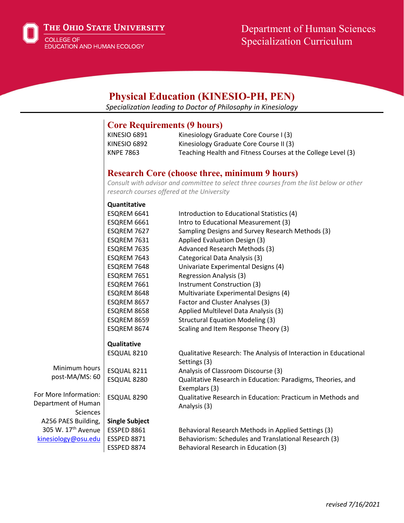

THE OHIO STATE UNIVERSITY

COLLEGE OF EDUCATION AND HUMAN ECOLOGY

# Department of Human Sciences Specialization Curriculum

| <b>Physical Education (KINESIO-PH, PEN)</b><br>Specialization leading to Doctor of Philosophy in Kinesiology |                                                                                         |                                                                                  |  |  |
|--------------------------------------------------------------------------------------------------------------|-----------------------------------------------------------------------------------------|----------------------------------------------------------------------------------|--|--|
|                                                                                                              |                                                                                         |                                                                                  |  |  |
|                                                                                                              |                                                                                         | <b>Core Requirements (9 hours)</b>                                               |  |  |
|                                                                                                              | <b>KINESIO 6891</b>                                                                     | Kinesiology Graduate Core Course I (3)                                           |  |  |
|                                                                                                              | KINESIO 6892                                                                            | Kinesiology Graduate Core Course II (3)                                          |  |  |
|                                                                                                              | <b>KNPE 7863</b>                                                                        | Teaching Health and Fitness Courses at the College Level (3)                     |  |  |
|                                                                                                              |                                                                                         | <b>Research Core (choose three, minimum 9 hours)</b>                             |  |  |
|                                                                                                              | Consult with advisor and committee to select three courses from the list below or other |                                                                                  |  |  |
|                                                                                                              | research courses offered at the University                                              |                                                                                  |  |  |
|                                                                                                              | Quantitative                                                                            |                                                                                  |  |  |
|                                                                                                              | ESQREM 6641                                                                             | Introduction to Educational Statistics (4)                                       |  |  |
|                                                                                                              | ESQREM 6661                                                                             | Intro to Educational Measurement (3)                                             |  |  |
|                                                                                                              | ESQREM 7627                                                                             | Sampling Designs and Survey Research Methods (3)                                 |  |  |
|                                                                                                              | ESQREM 7631                                                                             | Applied Evaluation Design (3)                                                    |  |  |
|                                                                                                              | ESQREM 7635                                                                             | Advanced Research Methods (3)                                                    |  |  |
|                                                                                                              | ESQREM 7643                                                                             | Categorical Data Analysis (3)                                                    |  |  |
|                                                                                                              | ESQREM 7648                                                                             | Univariate Experimental Designs (4)                                              |  |  |
|                                                                                                              | ESQREM 7651                                                                             | <b>Regression Analysis (3)</b>                                                   |  |  |
|                                                                                                              | ESQREM 7661                                                                             | Instrument Construction (3)                                                      |  |  |
|                                                                                                              | ESQREM 8648                                                                             | Multivariate Experimental Designs (4)                                            |  |  |
|                                                                                                              | ESQREM 8657                                                                             | Factor and Cluster Analyses (3)                                                  |  |  |
|                                                                                                              | ESQREM 8658                                                                             | Applied Multilevel Data Analysis (3)                                             |  |  |
|                                                                                                              | ESQREM 8659                                                                             | <b>Structural Equation Modeling (3)</b>                                          |  |  |
|                                                                                                              | ESQREM 8674                                                                             | Scaling and Item Response Theory (3)                                             |  |  |
|                                                                                                              | Qualitative                                                                             |                                                                                  |  |  |
|                                                                                                              | ESQUAL 8210                                                                             | Qualitative Research: The Analysis of Interaction in Educational<br>Settings (3) |  |  |
| Minimum hours                                                                                                | ESQUAL 8211                                                                             | Analysis of Classroom Discourse (3)                                              |  |  |
| post-MA/MS: 60                                                                                               | ESQUAL 8280                                                                             | Qualitative Research in Education: Paradigms, Theories, and                      |  |  |
|                                                                                                              |                                                                                         | Exemplars (3)                                                                    |  |  |
| For More Information:                                                                                        | ESQUAL 8290                                                                             | Qualitative Research in Education: Practicum in Methods and                      |  |  |
| Department of Human                                                                                          |                                                                                         | Analysis (3)                                                                     |  |  |
| Sciences                                                                                                     |                                                                                         |                                                                                  |  |  |
| A256 PAES Building,                                                                                          | <b>Single Subject</b>                                                                   |                                                                                  |  |  |
| 305 W. 17 <sup>th</sup> Avenue                                                                               | ESSPED 8861                                                                             | Behavioral Research Methods in Applied Settings (3)                              |  |  |
| kinesiology@osu.edu                                                                                          | <b>ESSPED 8871</b>                                                                      | Behaviorism: Schedules and Translational Research (3)                            |  |  |
|                                                                                                              | ESSPED 8874                                                                             | Behavioral Research in Education (3)                                             |  |  |